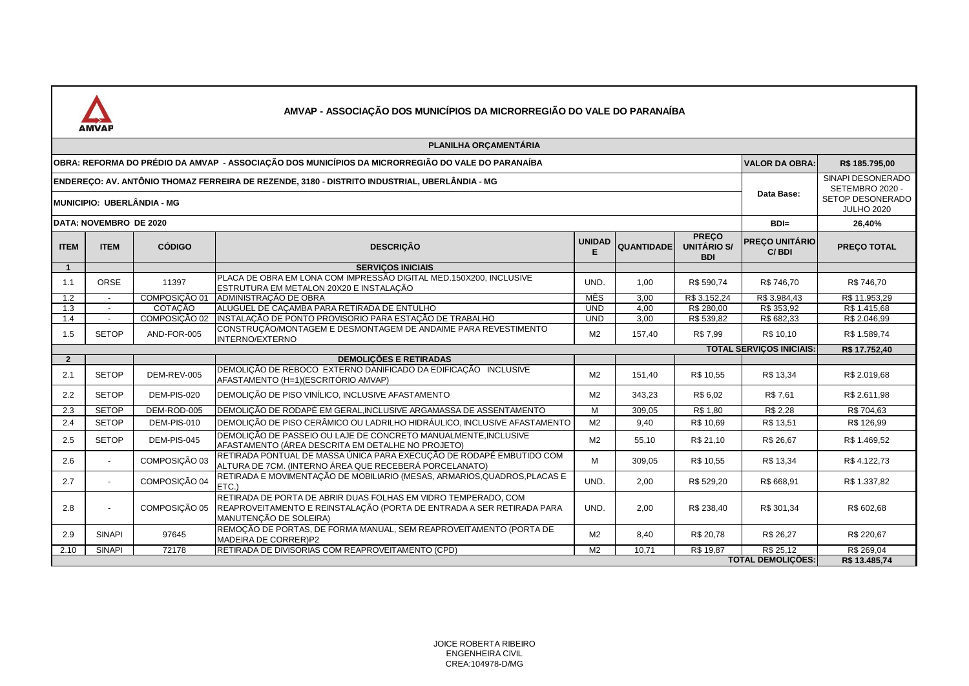| JA<br>Δ<br>n |  |
|--------------|--|

|                                                                                                                             | <b>AMVAP</b>   |               |                                                                                                                                                                   |                    |                   |                                           |                                |                                                                               |
|-----------------------------------------------------------------------------------------------------------------------------|----------------|---------------|-------------------------------------------------------------------------------------------------------------------------------------------------------------------|--------------------|-------------------|-------------------------------------------|--------------------------------|-------------------------------------------------------------------------------|
|                                                                                                                             |                |               | PLANILHA ORÇAMENTÁRIA                                                                                                                                             |                    |                   |                                           |                                |                                                                               |
| OBRA: REFORMA DO PRÉDIO DA AMVAP - ASSOCIAÇÃO DOS MUNICÍPIOS DA MICRORREGIÃO DO VALE DO PARANAÍBA                           |                |               |                                                                                                                                                                   |                    |                   |                                           |                                | R\$ 185.795,00                                                                |
| ENDERECO: AV. ANTÔNIO THOMAZ FERREIRA DE REZENDE, 3180 - DISTRITO INDUSTRIAL, UBERLÂNDIA - MG<br>MUNICIPIO: UBERLÂNDIA - MG |                |               |                                                                                                                                                                   |                    |                   |                                           |                                | SINAPI DESONERADO<br>SETEMBRO 2020 -<br>SETOP DESONERADO<br><b>JULHO 2020</b> |
| DATA: NOVEMBRO DE 2020                                                                                                      |                |               |                                                                                                                                                                   |                    |                   |                                           |                                | 26,40%                                                                        |
| <b>ITEM</b>                                                                                                                 | <b>ITEM</b>    | <b>CÓDIGO</b> | <b>DESCRIÇÃO</b>                                                                                                                                                  | <b>UNIDAD</b><br>Е | <b>QUANTIDADE</b> | <b>PREÇO</b><br>UNITÁRIO S/<br><b>BDI</b> | <b>PRECO UNITÁRIO</b><br>C/BDI | <b>PREÇO TOTAL</b>                                                            |
| $\mathbf{1}$                                                                                                                |                |               | <b>SERVICOS INICIAIS</b>                                                                                                                                          |                    |                   |                                           |                                |                                                                               |
| 1.1                                                                                                                         | ORSE           | 11397         | PLACA DE OBRA EM LONA COM IMPRESSÃO DIGITAL MED.150X200. INCLUSIVE<br>ESTRUTURA EM METALON 20X20 E INSTALAÇÃO                                                     | UND.               | 1.00              | R\$ 590,74                                | R\$746.70                      | R\$746.70                                                                     |
| 1.2                                                                                                                         |                | COMPOSICÃO 01 | ADMINISTRAÇÃO DE OBRA                                                                                                                                             | <b>MÊS</b>         | 3,00              | R\$ 3.152,24                              | R\$ 3.984,43                   | R\$ 11.953,29                                                                 |
| $\overline{1.3}$                                                                                                            |                | COTACÃO       | ALUGUEL DE CAÇAMBA PARA RETIRADA DE ENTULHO                                                                                                                       | <b>UND</b>         | 4.00              | R\$ 280.00                                | R\$ 353.92                     | R\$ 1.415.68                                                                  |
| 1.4                                                                                                                         | $\sim$         | COMPOSIÇÃO 02 | INSTALAÇÃO DE PONTO PROVISORIO PARA ESTAÇÃO DE TRABALHO                                                                                                           | <b>UND</b>         | 3.00              | R\$ 539,82                                | R\$ 682,33                     | R\$ 2.046,99                                                                  |
| 1.5                                                                                                                         | <b>SETOP</b>   | AND-FOR-005   | CONSTRUÇÃO/MONTAGEM E DESMONTAGEM DE ANDAIME PARA REVESTIMENTO<br><b>INTERNO/EXTERNO</b>                                                                          | M <sub>2</sub>     | 157,40            | R\$ 7,99                                  | R\$ 10,10                      | R\$ 1.589,74                                                                  |
|                                                                                                                             |                |               | <b>TOTAL SERVICOS INICIAIS:</b>                                                                                                                                   | R\$ 17.752,40      |                   |                                           |                                |                                                                               |
| $\overline{2}$                                                                                                              |                |               | <b>DEMOLICÕES E RETIRADAS</b>                                                                                                                                     |                    |                   |                                           |                                |                                                                               |
| 2.1                                                                                                                         | <b>SETOP</b>   | DEM-REV-005   | DEMOLIÇÃO DE REBOCO EXTERNO DANIFICADO DA EDIFICAÇÃO INCLUSIVE<br>AFASTAMENTO (H=1)(ESCRITÓRIO AMVAP)                                                             | M <sub>2</sub>     | 151,40            | R\$ 10,55                                 | R\$ 13,34                      | R\$ 2.019,68                                                                  |
| 2.2                                                                                                                         | <b>SETOP</b>   | DEM-PIS-020   | DEMOLIÇÃO DE PISO VINÍLICO, INCLUSIVE AFASTAMENTO                                                                                                                 | M <sub>2</sub>     | 343,23            | R\$ 6,02                                  | R\$7,61                        | R\$ 2.611,98                                                                  |
| 2.3                                                                                                                         | <b>SETOP</b>   | DEM-ROD-005   | DEMOLIÇÃO DE RODAPÉ EM GERAL, INCLUSIVE ARGAMASSA DE ASSENTAMENTO                                                                                                 | M                  | 309,05            | R\$ 1,80                                  | R\$ 2,28                       | R\$704,63                                                                     |
| 2.4                                                                                                                         | <b>SETOP</b>   | DEM-PIS-010   | DEMOLIÇÃO DE PISO CERÂMICO OU LADRILHO HIDRÁULICO, INCLUSIVE AFASTAMENTO                                                                                          | M <sub>2</sub>     | 9,40              | R\$ 10,69                                 | R\$ 13,51                      | R\$ 126,99                                                                    |
| 2.5                                                                                                                         | <b>SETOP</b>   | DEM-PIS-045   | DEMOLIÇÃO DE PASSEIO OU LAJE DE CONCRETO MANUALMENTE, INCLUSIVE<br>AFASTAMENTO (ÁREA DESCRITA EM DETALHE NO PROJETO)                                              | M <sub>2</sub>     | 55.10             | R\$ 21,10                                 | R\$ 26,67                      | R\$ 1.469.52                                                                  |
| 2.6                                                                                                                         |                | COMPOSIÇÃO 03 | RETIRADA PONTUAL DE MASSA ÚNICA PARA EXECUÇÃO DE RODAPÉ EMBUTIDO COM<br>ALTURA DE 7CM. (INTERNO ÁREA QUE RECEBERÁ PORCELANATO)                                    | м                  | 309,05            | R\$ 10,55                                 | R\$ 13,34                      | R\$4.122,73                                                                   |
| 2.7                                                                                                                         | $\blacksquare$ | COMPOSIÇÃO 04 | RETIRADA E MOVIMENTAÇÃO DE MOBILIARIO (MESAS, ARMARIOS, QUADROS, PLACAS E<br>ETC.)                                                                                | UND.               | 2.00              | R\$ 529,20                                | R\$ 668.91                     | R\$ 1.337,82                                                                  |
| 2.8                                                                                                                         |                | COMPOSIÇÃO 05 | RETIRADA DE PORTA DE ABRIR DUAS FOLHAS EM VIDRO TEMPERADO, COM<br>REAPROVEITAMENTO E REINSTALAÇÃO (PORTA DE ENTRADA A SER RETIRADA PARA<br>MANUTENÇÃO DE SOLEIRA) | UND.               | 2.00              | R\$ 238.40                                | R\$ 301.34                     | R\$ 602,68                                                                    |
| 2.9                                                                                                                         | <b>SINAPI</b>  | 97645         | REMOÇÃO DE PORTAS, DE FORMA MANUAL, SEM REAPROVEITAMENTO (PORTA DE<br>MADEIRA DE CORRER)P2                                                                        | M <sub>2</sub>     | 8.40              | R\$ 20.78                                 | R\$ 26.27                      | R\$ 220,67                                                                    |
| 2.10                                                                                                                        | <b>SINAPI</b>  | 72178         | RETIRADA DE DIVISORIAS COM REAPROVEITAMENTO (CPD)                                                                                                                 | M <sub>2</sub>     | 10,71             | R\$ 19,87                                 | R\$ 25,12                      | R\$ 269,04                                                                    |
|                                                                                                                             |                |               |                                                                                                                                                                   |                    |                   |                                           | <b>TOTAL DEMOLICÕES:</b>       | R\$ 13,485.74                                                                 |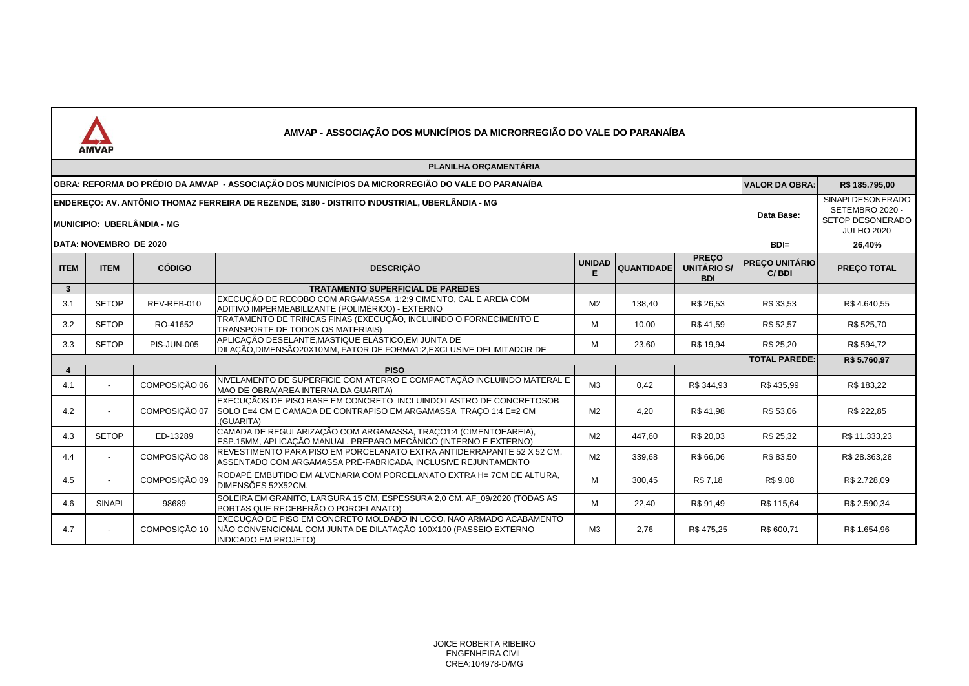

|                                                                                                                                    | PLANILHA ORÇAMENTÁRIA  |                    |                                                                                                                                                                        |                    |                   |                                           |                                |                                                                               |  |
|------------------------------------------------------------------------------------------------------------------------------------|------------------------|--------------------|------------------------------------------------------------------------------------------------------------------------------------------------------------------------|--------------------|-------------------|-------------------------------------------|--------------------------------|-------------------------------------------------------------------------------|--|
| OBRA: REFORMA DO PRÉDIO DA AMVAP - ASSOCIAÇÃO DOS MUNICÍPIOS DA MICRORREGIÃO DO VALE DO PARANAÍBA                                  |                        |                    |                                                                                                                                                                        |                    |                   |                                           |                                | R\$ 185.795,00                                                                |  |
| ENDERECO: AV. ANTÔNIO THOMAZ FERREIRA DE REZENDE, 3180 - DISTRITO INDUSTRIAL, UBERLÂNDIA - MG<br><b>MUNICIPIO: UBERLÂNDIA - MG</b> |                        |                    |                                                                                                                                                                        |                    |                   |                                           |                                | SINAPI DESONERADO<br>SETEMBRO 2020 -<br>SETOP DESONERADO<br><b>JULHO 2020</b> |  |
|                                                                                                                                    | DATA: NOVEMBRO DE 2020 |                    |                                                                                                                                                                        |                    |                   |                                           | $BDI=$                         | 26,40%                                                                        |  |
| <b>ITEM</b>                                                                                                                        | <b>ITEM</b>            | <b>CÓDIGO</b>      | <b>DESCRIÇÃO</b>                                                                                                                                                       | <b>UNIDAD</b><br>Е | <b>QUANTIDADE</b> | <b>PREÇO</b><br>UNITÁRIO S/<br><b>BDI</b> | <b>PRECO UNITÁRIO</b><br>C/BDI | <b>PREÇO TOTAL</b>                                                            |  |
| $\mathbf{3}$                                                                                                                       |                        |                    | <b>TRATAMENTO SUPERFICIAL DE PAREDES</b>                                                                                                                               |                    |                   |                                           |                                |                                                                               |  |
| 3.1                                                                                                                                | <b>SETOP</b>           | REV-REB-010        | EXECUÇÃO DE RECOBO COM ARGAMASSA 1:2:9 CIMENTO, CAL E AREIA COM<br>ADITIVO IMPERMEABILIZANTE (POLIMÉRICO) - EXTERNO                                                    | M <sub>2</sub>     | 138,40            | R\$ 26,53                                 | R\$ 33,53                      | R\$4.640,55                                                                   |  |
| 3.2                                                                                                                                | <b>SETOP</b>           | RO-41652           | TRATAMENTO DE TRINCAS FINAS (EXECUÇÃO, INCLUINDO O FORNECIMENTO E<br>TRANSPORTE DE TODOS OS MATERIAIS)                                                                 | м                  | 10,00             | R\$41,59                                  | R\$ 52,57                      | R\$ 525,70                                                                    |  |
| 3.3                                                                                                                                | <b>SETOP</b>           | <b>PIS-JUN-005</b> | APLICAÇÃO DESELANTE,MASTIQUE ELÁSTICO,EM JUNTA DE<br>DILAÇÃO,DIMENSÃO20X10MM, FATOR DE FORMA1:2,EXCLUSIVE DELIMITADOR DE                                               | м                  | 23,60             | R\$ 19,94                                 | R\$ 25,20                      | R\$ 594,72                                                                    |  |
|                                                                                                                                    |                        |                    |                                                                                                                                                                        |                    |                   |                                           | <b>TOTAL PAREDE:</b>           | R\$5.760,97                                                                   |  |
|                                                                                                                                    |                        |                    | <b>PISO</b>                                                                                                                                                            |                    |                   |                                           |                                |                                                                               |  |
| 4.1                                                                                                                                |                        | COMPOSICÃO 06      | NIVELAMENTO DE SUPERFICIE COM ATERRO E COMPACTAÇÃO INCLUINDO MATERAL E<br>MAO DE OBRA(AREA INTERNA DA GUARITA)                                                         | M3                 | 0.42              | R\$ 344.93                                | R\$435.99                      | R\$ 183,22                                                                    |  |
| 4.2                                                                                                                                |                        | COMPOSICÃO 07      | EXECUÇÃOS DE PISO BASE EM CONCRETO INCLUINDO LASTRO DE CONCRETOSOB<br>SOLO E=4 CM E CAMADA DE CONTRAPISO EM ARGAMASSA TRAÇO 1:4 E=2 CM<br>(GUARITA)                    | M <sub>2</sub>     | 4,20              | R\$41,98                                  | R\$ 53,06                      | R\$ 222,85                                                                    |  |
| 4.3                                                                                                                                | <b>SETOP</b>           | ED-13289           | CAMADA DE REGULARIZAÇÃO COM ARGAMASSA, TRAÇO1:4 (CIMENTOEAREIA),<br>ESP.15MM, APLICAÇÃO MANUAL, PREPARO MECÂNICO (INTERNO E EXTERNO)                                   | M <sub>2</sub>     | 447,60            | R\$ 20,03                                 | R\$ 25,32                      | R\$ 11.333,23                                                                 |  |
| 4.4                                                                                                                                | $\overline{a}$         | COMPOSIÇÃO 08      | REVESTIMENTO PARA PISO EM PORCELANATO EXTRA ANTIDERRAPANTE 52 X 52 CM,<br>ASSENTADO COM ARGAMASSA PRÉ-FABRICADA, INCLUSIVE REJUNTAMENTO                                | M <sub>2</sub>     | 339,68            | R\$ 66,06                                 | R\$83,50                       | R\$ 28.363,28                                                                 |  |
| 4.5                                                                                                                                |                        | COMPOSICÃO 09      | RODAPÉ EMBUTIDO EM ALVENARIA COM PORCELANATO EXTRA H= 7CM DE ALTURA,<br>DIMENSÕES 52X52CM.                                                                             | M                  | 300,45            | R\$7,18                                   | R\$ 9.08                       | R\$ 2.728,09                                                                  |  |
| 4.6                                                                                                                                | <b>SINAPI</b>          | 98689              | SOLEIRA EM GRANITO, LARGURA 15 CM, ESPESSURA 2,0 CM. AF 09/2020 (TODAS AS<br>PORTAS QUE RECEBERÃO O PORCELANATO)                                                       | м                  | 22,40             | R\$ 91,49                                 | R\$ 115,64                     | R\$ 2.590,34                                                                  |  |
| 4.7                                                                                                                                |                        | COMPOSIÇÃO 10      | EXECUÇÃO DE PISO EM CONCRETO MOLDADO IN LOCO, NÃO ARMADO ACABAMENTO<br>NÃO CONVENCIONAL COM JUNTA DE DILATAÇÃO 100X100 (PASSEIO EXTERNO<br><b>INDICADO EM PROJETO)</b> | M3                 | 2,76              | R\$475,25                                 | R\$ 600,71                     | R\$ 1.654,96                                                                  |  |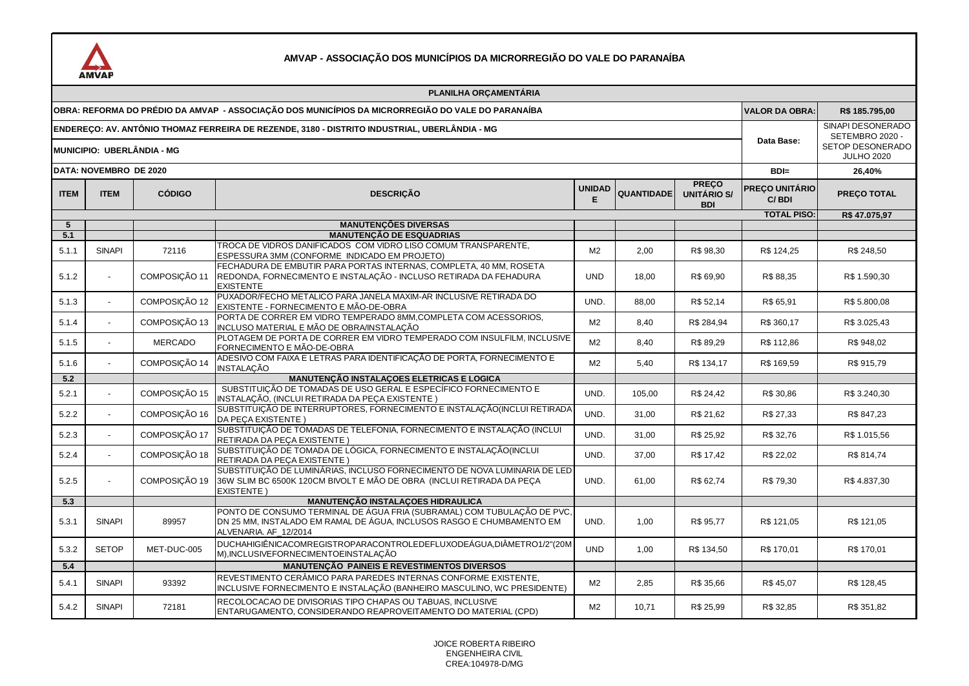

|                                                                                                                             |                        |                | PLANILHA ORCAMENTÁRIA                                                                                                                                                    |                    |                   |                                           |                         |                                                                               |
|-----------------------------------------------------------------------------------------------------------------------------|------------------------|----------------|--------------------------------------------------------------------------------------------------------------------------------------------------------------------------|--------------------|-------------------|-------------------------------------------|-------------------------|-------------------------------------------------------------------------------|
| OBRA: REFORMA DO PRÉDIO DA AMVAP - ASSOCIAÇÃO DOS MUNICÍPIOS DA MICRORREGIÃO DO VALE DO PARANAÍBA                           |                        |                |                                                                                                                                                                          |                    |                   |                                           |                         | R\$ 185.795,00                                                                |
| ENDEREÇO: AV. ANTÔNIO THOMAZ FERREIRA DE REZENDE, 3180 - DISTRITO INDUSTRIAL, UBERLÂNDIA - MG<br>MUNICIPIO: UBERLÂNDIA - MG |                        |                |                                                                                                                                                                          |                    |                   |                                           |                         | SINAPI DESONERADO<br>SETEMBRO 2020 -<br>SETOP DESONERADO<br><b>JULHO 2020</b> |
|                                                                                                                             | DATA: NOVEMBRO DE 2020 | $BDI=$         | 26,40%                                                                                                                                                                   |                    |                   |                                           |                         |                                                                               |
| <b>ITEM</b>                                                                                                                 | <b>ITEM</b>            | <b>CÓDIGO</b>  | <b>DESCRIÇÃO</b>                                                                                                                                                         | <b>UNIDAD</b><br>Е | <b>QUANTIDADE</b> | <b>PREÇO</b><br>UNITÁRIO S/<br><b>BDI</b> | PREÇO UNITÁRIO<br>C/BDI | PREÇO TOTAL                                                                   |
|                                                                                                                             |                        |                |                                                                                                                                                                          |                    |                   |                                           | <b>TOTAL PISO:</b>      | R\$47.075,97                                                                  |
| $5\overline{5}$                                                                                                             |                        |                | <b>MANUTENÇÕES DIVERSAS</b>                                                                                                                                              |                    |                   |                                           |                         |                                                                               |
| 5.1<br>5.1.1                                                                                                                | <b>SINAPI</b>          | 72116          | <b>MANUTENÇÃO DE ESQUADRIAS</b><br>TROCA DE VIDROS DANIFICADOS COM VIDRO LISO COMUM TRANSPARENTE,<br>ESPESSURA 3MM (CONFORME INDICADO EM PROJETO)                        | M <sub>2</sub>     | 2.00              | R\$ 98.30                                 | R\$ 124.25              | R\$ 248,50                                                                    |
| 5.1.2                                                                                                                       |                        | COMPOSIÇÃO 11  | FECHADURA DE EMBUTIR PARA PORTAS INTERNAS, COMPLETA, 40 MM, ROSETA<br>REDONDA, FORNECIMENTO E INSTALAÇÃO - INCLUSO RETIRADA DA FEHADURA<br><b>EXISTENTE</b>              | <b>UND</b>         | 18,00             | R\$ 69,90                                 | R\$ 88,35               | R\$ 1.590,30                                                                  |
| 5.1.3                                                                                                                       |                        | COMPOSIÇÃO 12  | PUXADOR/FECHO METALICO PARA JANELA MAXIM-AR INCLUSIVE RETIRADA DO<br>EXISTENTE - FORNECIMENTO E MÃO-DE-OBRA                                                              | UND.               | 88,00             | R\$ 52,14                                 | R\$ 65,91               | R\$ 5.800,08                                                                  |
| 5.1.4                                                                                                                       | $\sim$                 | COMPOSIÇÃO 13  | PORTA DE CORRER EM VIDRO TEMPERADO 8MM, COMPLETA COM ACESSORIOS,<br>INCLUSO MATERIAL E MÃO DE OBRA/INSTALAÇÃO                                                            | M <sub>2</sub>     | 8,40              | R\$ 284,94                                | R\$ 360,17              | R\$ 3.025,43                                                                  |
| 5.1.5                                                                                                                       |                        | <b>MERCADO</b> | PLOTAGEM DE PORTA DE CORRER EM VIDRO TEMPERADO COM INSULFILM, INCLUSIVE<br>FORNECIMENTO E MÃO-DE-OBRA                                                                    | M <sub>2</sub>     | 8,40              | R\$ 89,29                                 | R\$ 112,86              | R\$ 948,02                                                                    |
| 5.1.6                                                                                                                       |                        | COMPOSIÇÃO 14  | ADESIVO COM FAIXA E LETRAS PARA IDENTIFICAÇÃO DE PORTA, FORNECIMENTO E<br><b>INSTALAÇÃO</b>                                                                              | M <sub>2</sub>     | 5,40              | R\$ 134,17                                | R\$ 169,59              | R\$ 915,79                                                                    |
| 5.2                                                                                                                         |                        |                | <b>MANUTENÇÃO INSTALAÇOES ELETRICAS E LOGICA</b>                                                                                                                         |                    |                   |                                           |                         |                                                                               |
| 5.2.1                                                                                                                       |                        | COMPOSIÇÃO 15  | SUBSTITUIÇÃO DE TOMADAS DE USO GERAL E ESPECÍFICO FORNECIMENTO E<br>INSTALAÇÃO, (INCLUI RETIRADA DA PEÇA EXISTENTE)                                                      | UND.               | 105,00            | R\$ 24,42                                 | R\$ 30,86               | R\$ 3.240,30                                                                  |
| 5.2.2                                                                                                                       | $\sim$                 | COMPOSIÇÃO 16  | SUBSTITUIÇÃO DE INTERRUPTORES, FORNECIMENTO E INSTALAÇÃO (INCLUI RETIRADA<br>DA PECA EXISTENTE )                                                                         | UND.               | 31,00             | R\$ 21,62                                 | R\$ 27,33               | R\$ 847,23                                                                    |
| 5.2.3                                                                                                                       |                        | COMPOSIÇÃO 17  | SUBSTITUIÇÃO DE TOMADAS DE TELEFONIA, FORNECIMENTO E INSTALAÇÃO (INCLUI<br>RETIRADA DA PEÇA EXISTENTE)                                                                   | UND.               | 31,00             | R\$ 25,92                                 | R\$ 32,76               | R\$ 1.015,56                                                                  |
| 5.2.4                                                                                                                       |                        | COMPOSIÇÃO 18  | SUBSTITUIÇÃO DE TOMADA DE LÓGICA, FORNECIMENTO E INSTALAÇÃO(INCLUI<br>RETIRADA DA PEÇA EXISTENTE)                                                                        | UND.               | 37,00             | R\$ 17,42                                 | R\$ 22,02               | R\$ 814,74                                                                    |
| 5.2.5                                                                                                                       |                        | COMPOSIÇÃO 19  | SUBSTITUIÇÃO DE LUMINÁRIAS, INCLUSO FORNECIMENTO DE NOVA LUMINARIA DE LED<br>36W SLIM BC 6500K 120CM BIVOLT E MÃO DE OBRA (INCLUI RETIRADA DA PEÇA<br><b>EXISTENTE)</b>  | UND.               | 61,00             | R\$ 62,74                                 | R\$79,30                | R\$4.837,30                                                                   |
| 5.3                                                                                                                         |                        |                | <b>MANUTENÇÃO INSTALAÇOES HIDRAULICA</b>                                                                                                                                 |                    |                   |                                           |                         |                                                                               |
| 5.3.1                                                                                                                       | <b>SINAPI</b>          | 89957          | PONTO DE CONSUMO TERMINAL DE ÁGUA FRIA (SUBRAMAL) COM TUBULAÇÃO DE PVC<br>DN 25 MM, INSTALADO EM RAMAL DE ÁGUA, INCLUSOS RASGO E CHUMBAMENTO EM<br>ALVENARIA. AF 12/2014 | UND.               | 1,00              | R\$ 95,77                                 | R\$ 121,05              | R\$ 121,05                                                                    |
| 5.3.2                                                                                                                       | <b>SETOP</b>           | MET-DUC-005    | DUCHAHIGIÊNICACOMREGISTROPARACONTROLEDEFLUXODEÁGUA, DIÂMETRO1/2"(20M<br>M), INCLUSIVEFORNECIMENTOEINSTALAÇÃO                                                             | <b>UND</b>         | 1,00              | R\$ 134,50                                | R\$ 170,01              | R\$ 170,01                                                                    |
| 5.4                                                                                                                         |                        |                | <b>MANUTENÇÃO PAINEIS E REVESTIMENTOS DIVERSOS</b>                                                                                                                       |                    |                   |                                           |                         |                                                                               |
| 5.4.1                                                                                                                       | <b>SINAPI</b>          | 93392          | REVESTIMENTO CERÂMICO PARA PAREDES INTERNAS CONFORME EXISTENTE,<br>INCLUSIVE FORNECIMENTO E INSTALAÇÃO (BANHEIRO MASCULINO, WC PRESIDENTE)                               | M <sub>2</sub>     | 2,85              | R\$ 35,66                                 | R\$45,07                | R\$ 128,45                                                                    |
| 5.4.2                                                                                                                       | <b>SINAPI</b>          | 72181          | RECOLOCACAO DE DIVISORIAS TIPO CHAPAS OU TABUAS, INCLUSIVE<br>ENTARUGAMENTO, CONSIDERANDO REAPROVEITAMENTO DO MATERIAL (CPD)                                             | M <sub>2</sub>     | 10,71             | R\$ 25,99                                 | R\$ 32,85               | R\$ 351,82                                                                    |